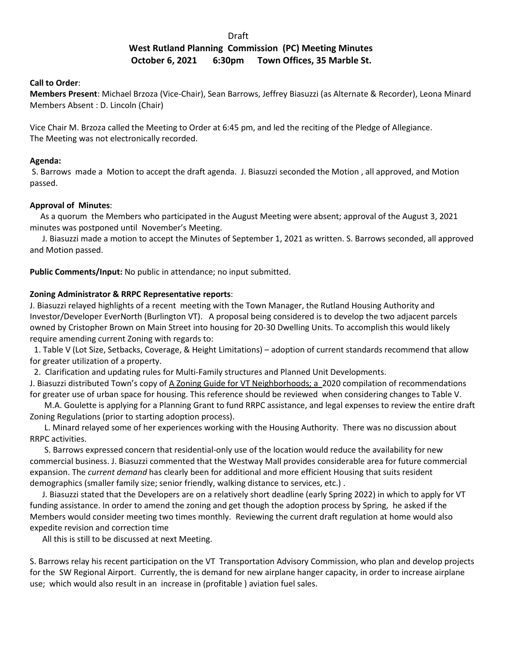# de de la construction de la construction de la construction de la construction de la construction de la constr

# **West Rutland Planning Commission (PC) Meeting Minutes October 6, 2021 6:30pm Town Offices, 35 Marble St.**

### **Call to Order**:

**Members Present**: Michael Brzoza (Vice-Chair), Sean Barrows, Jeffrey Biasuzzi (as Alternate & Recorder), Leona Minard Members Absent : D. Lincoln (Chair)

Vice Chair M. Brzoza called the Meeting to Order at 6:45 pm, and led the reciting of the Pledge of Allegiance. The Meeting was not electronically recorded.

### **Agenda:**

 S. Barrows made a Motion to accept the draft agenda. J. Biasuzzi seconded the Motion , all approved, and Motion passed.

## **Approval of Minutes**:

 As a quorum the Members who participated in the August Meeting were absent; approval of the August 3, 2021 minutes was postponed until November's Meeting.

 J. Biasuzzi made a motion to accept the Minutes of September 1, 2021 as written. S. Barrows seconded, all approved and Motion passed.

**Public Comments/Input:** No public in attendance; no input submitted.

## **Zoning Administrator & RRPC Representative reports**:

J. Biasuzzi relayed highlights of a recent meeting with the Town Manager, the Rutland Housing Authority and Investor/Developer EverNorth (Burlington VT). A proposal being considered is to develop the two adjacent parcels owned by Cristopher Brown on Main Street into housing for 20-30 Dwelling Units. To accomplish this would likely require amending current Zoning with regards to:

 1. Table V (Lot Size, Setbacks, Coverage, & Height Limitations) – adoption of current standards recommend that allow for greater utilization of a property.

2. Clarification and updating rules for Multi-Family structures and Planned Unit Developments.

J. Biasuzzi distributed Town's copy of A Zoning Guide for VT Neighborhoods; a 2020 compilation of recommendations for greater use of urban space for housing. This reference should be reviewed when considering changes to Table V.

 M.A. Goulette is applying for a Planning Grant to fund RRPC assistance, and legal expenses to review the entire draft Zoning Regulations (prior to starting adoption process).

 L. Minard relayed some of her experiences working with the Housing Authority. There was no discussion about RRPC activities.

 S. Barrows expressed concern that residential-only use of the location would reduce the availability for new commercial business. J. Biasuzzi commented that the Westway Mall provides considerable area for future commercial expansion. The *current demand* has clearly been for additional and more efficient Housing that suits resident demographics (smaller family size; senior friendly, walking distance to services, etc.) .

 J. Biasuzzi stated that the Developers are on a relatively short deadline (early Spring 2022) in which to apply for VT funding assistance. In order to amend the zoning and get though the adoption process by Spring, he asked if the Members would consider meeting two times monthly. Reviewing the current draft regulation at home would also expedite revision and correction time

All this is still to be discussed at next Meeting.

S. Barrows relay his recent participation on the VT Transportation Advisory Commission, who plan and develop projects for the SW Regional Airport. Currently, the is demand for new airplane hanger capacity, in order to increase airplane use; which would also result in an increase in (profitable ) aviation fuel sales.